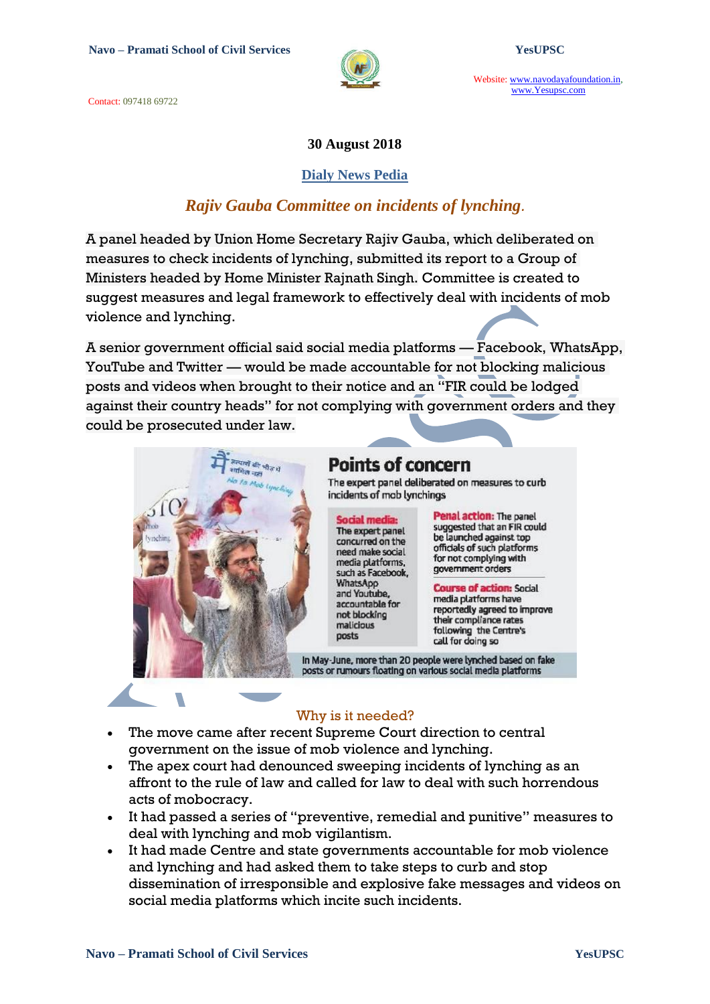Contact: 097418 69722



Website: www.navodayafoundation.in, www.Yesupsc.com

#### **30 August 2018**

#### **Dialy News Pedia**

## *Rajiv Gauba Committee on incidents of lynching.*

A panel headed by Union Home Secretary Rajiv Gauba, which deliberated on measures to check incidents of lynching, submitted its report to a Group of Ministers headed by Home Minister Rajnath Singh. Committee is created to suggest measures and legal framework to effectively deal with incidents of mob violence and lynching.

A senior government official said social media platforms — Facebook, WhatsApp, YouTube and Twitter — would be made accountable for not blocking malicious posts and videos when brought to their notice and an "FIR could be lodged against their country heads" for not complying with government orders and they could be prosecuted under law.



# **Points of concern**

The expert panel deliberated on measures to curb incidents of mob lynchings

#### **Social media:** The expert panel concurred on the need make social media platforms. such as Facebook. WhatsApp and Voutube. accountable for not blocking malicious

Penal action: The panel suggested that an FIR could be launched against top officials of such platforms for not complying with government orders

#### **Course of action: Social**

media platforms have reportedly agreed to improve their compliance rates following the Centre's call for doing so

In May-June, more than 20 people were lynched based on fake posts or rumours floating on various social media platforms

#### Why is it needed?

nosts

- The move came after recent Supreme Court direction to central government on the issue of mob violence and lynching.
- The apex court had denounced sweeping incidents of lynching as an affront to the rule of law and called for law to deal with such horrendous acts of mobocracy.
- It had passed a series of "preventive, remedial and punitive" measures to deal with lynching and mob vigilantism.
- It had made Centre and state governments accountable for mob violence and lynching and had asked them to take steps to curb and stop dissemination of irresponsible and explosive fake messages and videos on social media platforms which incite such incidents.

 $\overline{\phantom{0}}$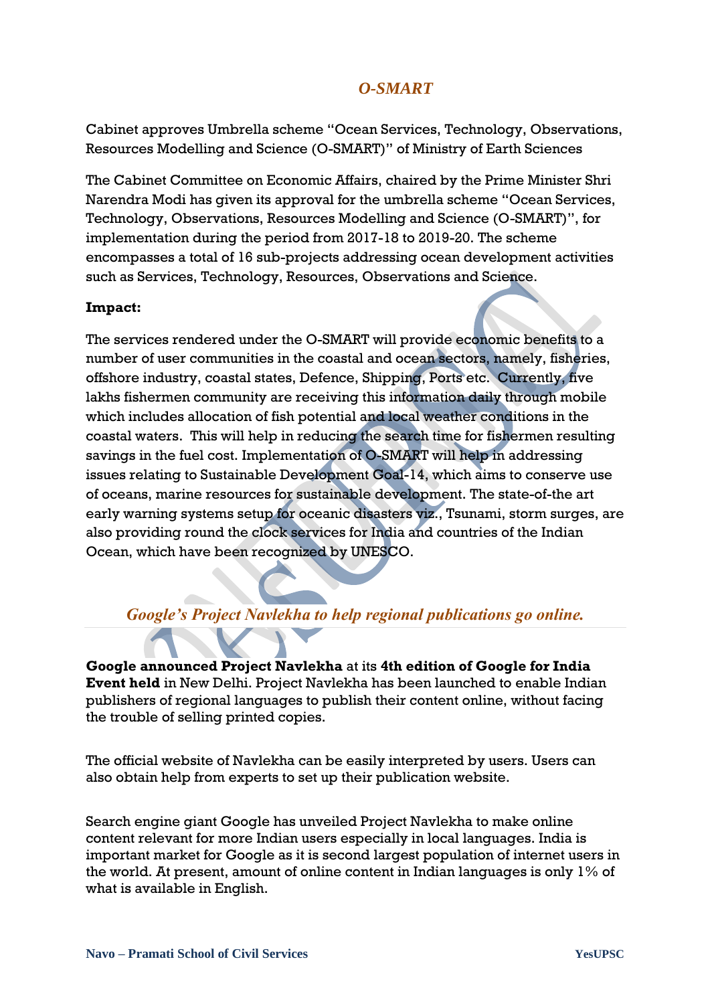# *O-SMART*

Cabinet approves Umbrella scheme "Ocean Services, Technology, Observations, Resources Modelling and Science (O-SMART)" of Ministry of Earth Sciences

The Cabinet Committee on Economic Affairs, chaired by the Prime Minister Shri Narendra Modi has given its approval for the umbrella scheme "Ocean Services, Technology, Observations, Resources Modelling and Science (O-SMART)", for implementation during the period from 2017-18 to 2019-20. The scheme encompasses a total of 16 sub-projects addressing ocean development activities such as Services, Technology, Resources, Observations and Science.

## **Impact:**

The services rendered under the O-SMART will provide economic benefits to a number of user communities in the coastal and ocean sectors, namely, fisheries, offshore industry, coastal states, Defence, Shipping, Ports etc. Currently, five lakhs fishermen community are receiving this information daily through mobile which includes allocation of fish potential and local weather conditions in the coastal waters. This will help in reducing the search time for fishermen resulting savings in the fuel cost. Implementation of O-SMART will help in addressing issues relating to Sustainable Development Goal-14, which aims to conserve use of oceans, marine resources for sustainable development. The state-of-the art early warning systems setup for oceanic disasters viz., Tsunami, storm surges, are also providing round the clock services for India and countries of the Indian Ocean, which have been recognized by UNESCO.

# *Google's Project Navlekha to help regional publications go online.*

**Google announced Project Navlekha** at its **4th edition of Google for India Event held** in New Delhi. Project Navlekha has been launched to enable Indian publishers of regional languages to publish their content online, without facing the trouble of selling printed copies.

The official website of Navlekha can be easily interpreted by users. Users can also obtain help from experts to set up their publication website.

Search engine giant Google has unveiled Project Navlekha to make online content relevant for more Indian users especially in local languages. India is important market for Google as it is second largest population of internet users in the world. At present, amount of online content in Indian languages is only 1% of what is available in English.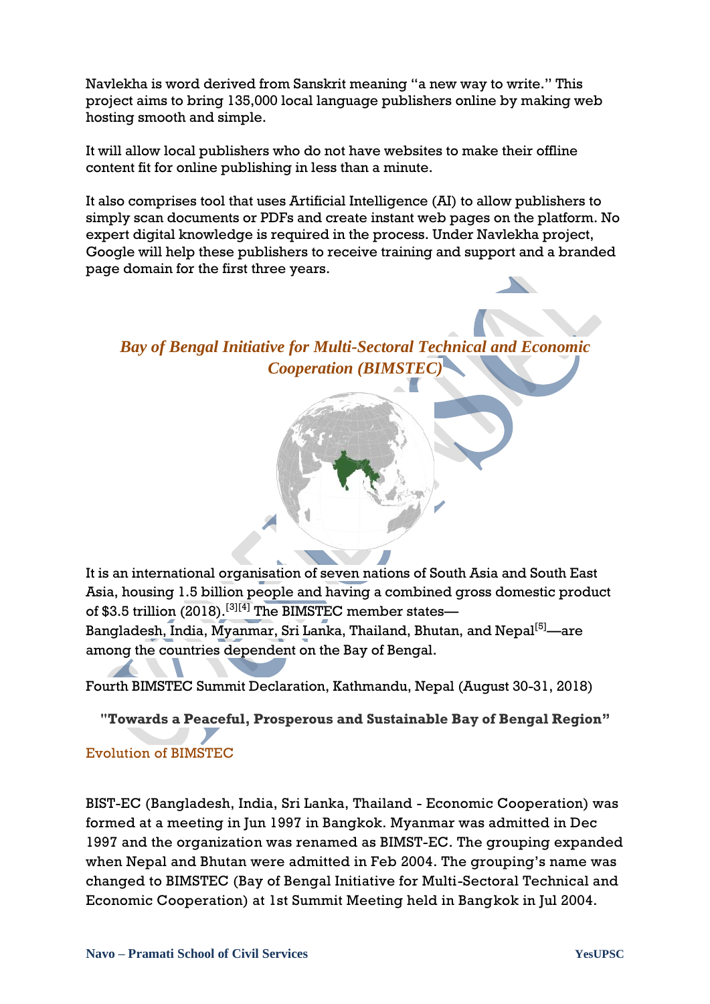Navlekha is word derived from Sanskrit meaning "a new way to write." This project aims to bring 135,000 local language publishers online by making web hosting smooth and simple.

It will allow local publishers who do not have websites to make their offline content fit for online publishing in less than a minute.

It also comprises tool that uses Artificial Intelligence (AI) to allow publishers to simply scan documents or PDFs and create instant web pages on the platform. No expert digital knowledge is required in the process. Under Navlekha project, Google will help these publishers to receive training and support and a branded page domain for the first three years.

*Bay of Bengal Initiative for Multi-Sectoral Technical and Economic Cooperation (BIMSTEC)*

It is an international organisation of seven nations of [South Asia](https://en.wikipedia.org/wiki/South_Asia) and [South East](https://en.wikipedia.org/wiki/South_East_Asia)  [Asia,](https://en.wikipedia.org/wiki/South_East_Asia) housing 1.5 billion people and having a combined gross domestic product of \$3.5 trillion (2018).<sup>[\[3\]\[4\]](https://en.wikipedia.org/wiki/Bay_of_Bengal_Initiative_for_Multi-Sectoral_Technical_and_Economic_Cooperation#cite_note-lead1-3)</sup> The BIMSTEC member states— [Bangladesh,](https://en.wikipedia.org/wiki/Bangladesh) [India,](https://en.wikipedia.org/wiki/India) [Myanmar,](https://en.wikipedia.org/wiki/Myanmar) [Sri Lanka,](https://en.wikipedia.org/wiki/Sri_Lanka) [Thailand,](https://en.wikipedia.org/wiki/Thailand) [Bhutan,](https://en.wikipedia.org/wiki/Bhutan) and [Nepal](https://en.wikipedia.org/wiki/Nepal)<sup>[\[5\]](https://en.wikipedia.org/wiki/Nepal)</sup>—are among the [countries dependent on the Bay of Bengal.](https://en.wikipedia.org/wiki/Countries_dependent_on_the_Bay_of_Bengal)

Fourth BIMSTEC Summit Declaration, Kathmandu, Nepal (August 30-31, 2018)

**"Towards a Peaceful, Prosperous and Sustainable Bay of Bengal Region"**

## Evolution of BIMSTEC

BIST-EC (Bangladesh, India, Sri Lanka, Thailand - Economic Cooperation) was formed at a meeting in Jun 1997 in Bangkok. Myanmar was admitted in Dec 1997 and the organization was renamed as BIMST-EC. The grouping expanded when Nepal and Bhutan were admitted in Feb 2004. The grouping's name was changed to BIMSTEC (Bay of Bengal Initiative for Multi-Sectoral Technical and Economic Cooperation) at 1st Summit Meeting held in Bangkok in Jul 2004.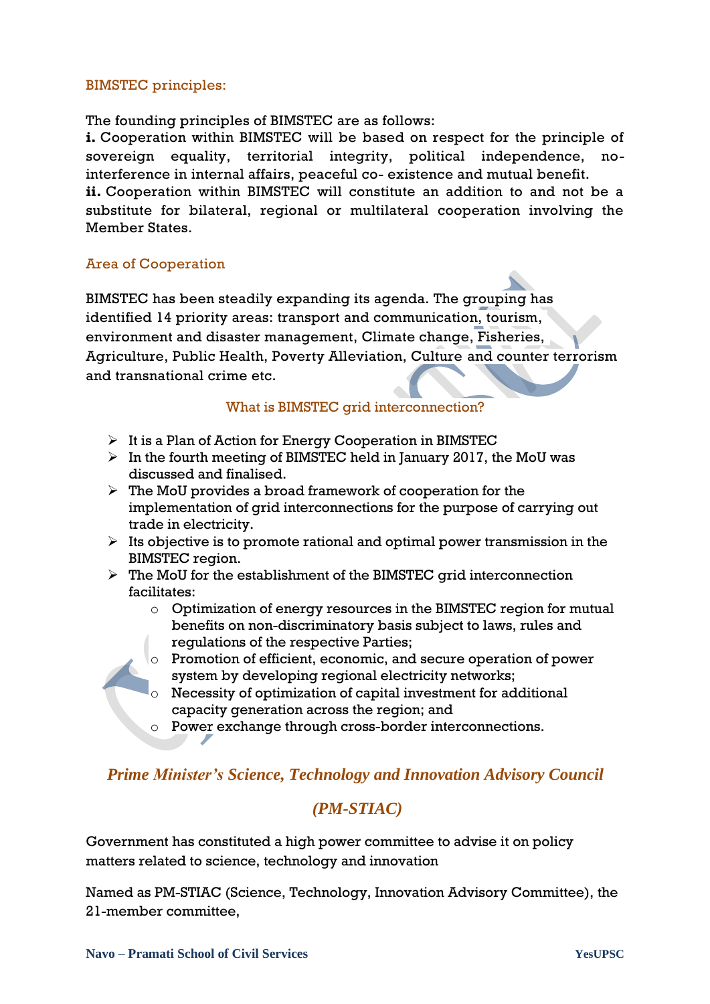### BIMSTEC principles:

The founding principles of BIMSTEC are as follows:

**i.** Cooperation within BIMSTEC will be based on respect for the principle of sovereign equality, territorial integrity, political independence, nointerference in internal affairs, peaceful co- existence and mutual benefit.

**ii.** Cooperation within BIMSTEC will constitute an addition to and not be a substitute for bilateral, regional or multilateral cooperation involving the Member States.

## Area of Cooperation

BIMSTEC has been steadily expanding its agenda. The grouping has identified 14 priority areas: transport and communication, tourism, environment and disaster management, Climate change, Fisheries, Agriculture, Public Health, Poverty Alleviation, Culture and counter terrorism and transnational crime etc.

### What is BIMSTEC grid interconnection?

- $\triangleright$  It is a Plan of Action for Energy Cooperation in BIMSTEC
- $\triangleright$  In the fourth meeting of BIMSTEC held in January 2017, the MoU was discussed and finalised.
- $\triangleright$  The MoU provides a broad framework of cooperation for the implementation of grid interconnections for the purpose of carrying out trade in electricity.
- $\triangleright$  Its objective is to promote rational and optimal power transmission in the BIMSTEC region.
- $\triangleright$  The MoU for the establishment of the BIMSTEC grid interconnection facilitates:
	- $\circ$  Optimization of energy resources in the BIMSTEC region for mutual benefits on non-discriminatory basis subject to laws, rules and regulations of the respective Parties;
	- o Promotion of efficient, economic, and secure operation of power system by developing regional electricity networks;
	- o Necessity of optimization of capital investment for additional capacity generation across the region; and
	- o Power exchange through cross-border interconnections.

# *Prime Minister's Science, Technology and Innovation Advisory Council*

# *(PM-STIAC)*

Government has constituted a high power committee to advise it on policy matters related to science, technology and innovation

Named as PM-STIAC (Science, Technology, Innovation Advisory Committee), the 21-member committee,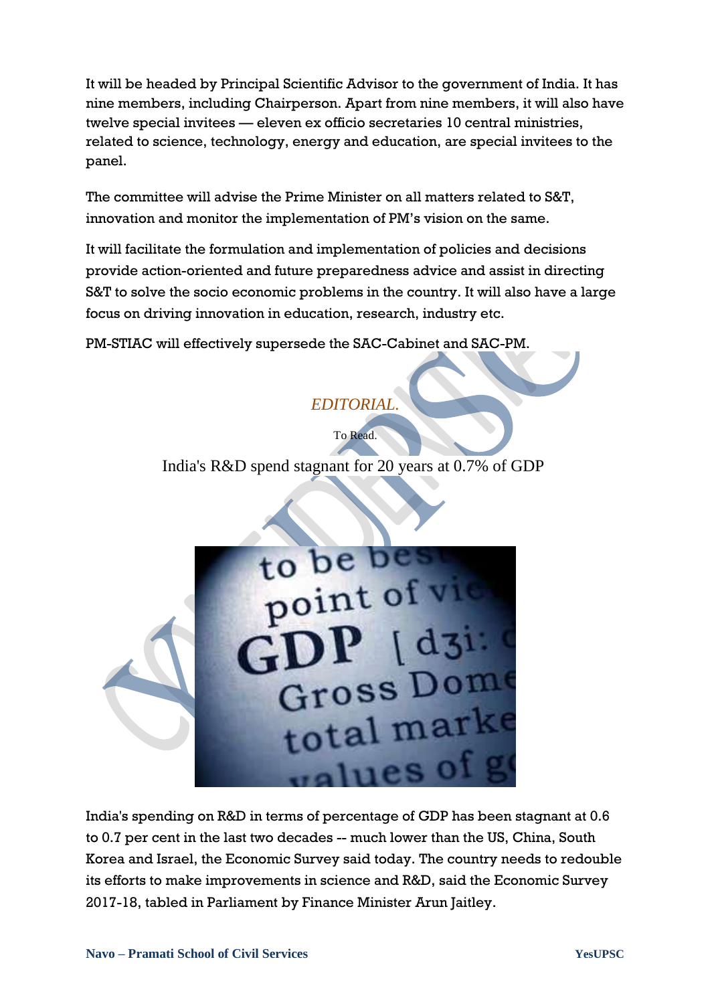It will be headed by Principal Scientific Advisor to the government of India. It has nine members, including Chairperson. Apart from nine members, it will also have twelve special invitees — eleven ex officio secretaries 10 central ministries, related to science, technology, energy and education, are special invitees to the panel.

The committee will advise the Prime Minister on all matters related to S&T, innovation and monitor the implementation of PM's vision on the same.

It will facilitate the formulation and implementation of policies and decisions provide action-oriented and future preparedness advice and assist in directing S&T to solve the socio economic problems in the country. It will also have a large focus on driving innovation in education, research, industry etc.

PM-STIAC will effectively supersede the SAC-Cabinet and SAC-PM.

# *EDITORIAL.*

India's R&D spend stagnant for 20 years at 0.7% of GDP

To Read.



India's spending on R&D in terms of percentage of [GDP](https://economictimes.indiatimes.com/topic/GDP) has been stagnant at 0.6 to 0.7 per cent in the last two decades -- much lower than the US, China, South Korea and Israel, the Economic Survey said today. The country needs to redouble its efforts to make improvements in science and R&D, said the Economic Survey 2017-18, tabled in Parliament by Finance Minister [Arun Jaitley.](https://economictimes.indiatimes.com/topic/Arun-Jaitley)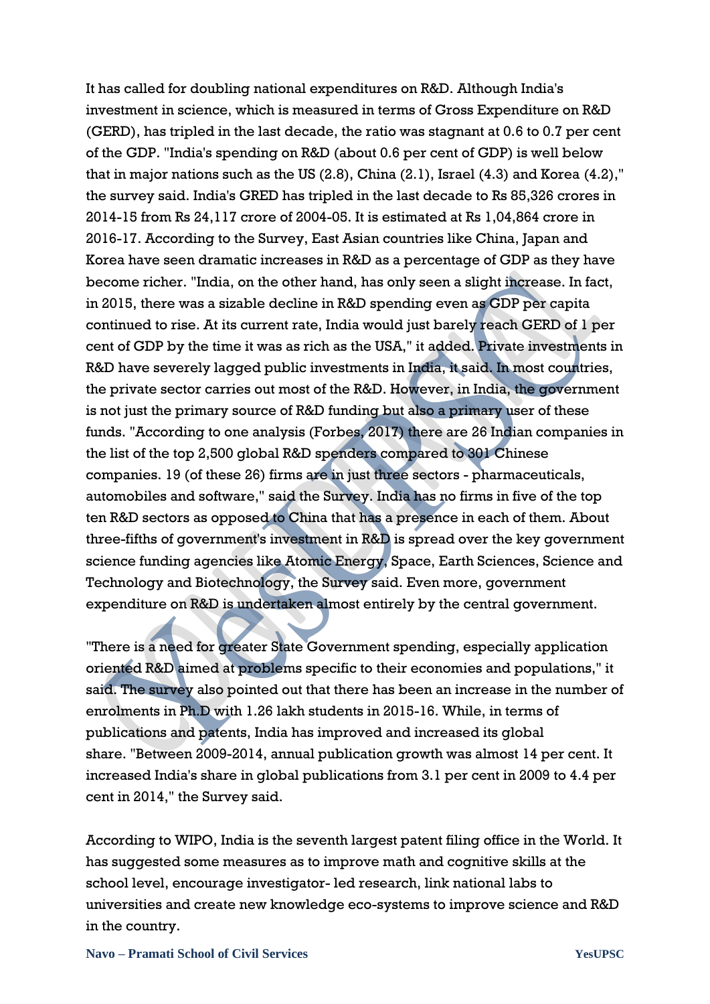It has called for doubling national expenditures on R&D. Although India's investment in science, which is measured in terms of Gross Expenditure on R&D (GERD), has tripled in the last decade, the ratio was stagnant at 0.6 to 0.7 per cent of the GDP. "India's spending on R&D (about 0.6 per cent of GDP) is well below that in major nations such as the US (2.8), China (2.1), Israel (4.3) and Korea (4.2)," the survey said. India's GRED has tripled in the last decade to Rs 85,326 crores in 2014-15 from Rs 24,117 crore of 2004-05. It is estimated at Rs 1,04,864 crore in 2016-17. According to the Survey, East Asian countries like China, Japan and Korea have seen dramatic increases in R&D as a percentage of GDP as they have become richer. "India, on the other hand, has only seen a slight increase. In fact, in 2015, there was a sizable decline in R&D spending even as GDP per capita continued to rise. At its current rate, India would just barely reach GERD of 1 per cent of GDP by the time it was as rich as the USA," it added. Private investments in R&D have severely lagged public investments in India, it said. In most countries, the private sector carries out most of the R&D. However, in India, the government is not just the primary source of R&D funding but also a primary user of these funds. "According to one analysis (Forbes, 2017) there are 26 Indian companies in the list of the top 2,500 global R&D spenders compared to 301 Chinese companies. 19 (of these 26) firms are in just three sectors - pharmaceuticals, automobiles and software," said the Survey. India has no firms in five of the top ten R&D sectors as opposed to China that has a presence in each of them. About three-fifths of government's investment in R&D is spread over the key government science funding agencies like Atomic Energy, Space, Earth Sciences, Science and Technology and Biotechnology, the Survey said. Even more, government expenditure on R&D is undertaken almost entirely by the central government.

"There is a need for greater State Government spending, especially application oriented R&D aimed at problems specific to their economies and populations," it said. The survey also pointed out that there has been an increase in the number of enrolments in Ph.D with 1.26 lakh students in 2015-16. While, in terms of publications and patents, India has improved and increased its global share. "Between 2009-2014, annual publication growth was almost 14 per cent. It increased India's share in global publications from 3.1 per cent in 2009 to 4.4 per cent in 2014," the Survey said.

According to WIPO, India is the seventh largest patent filing office in the World. It has suggested some measures as to improve math and cognitive skills at the school level, encourage investigator- led research, link national labs to universities and create new knowledge eco-systems to improve science and R&D in the country.